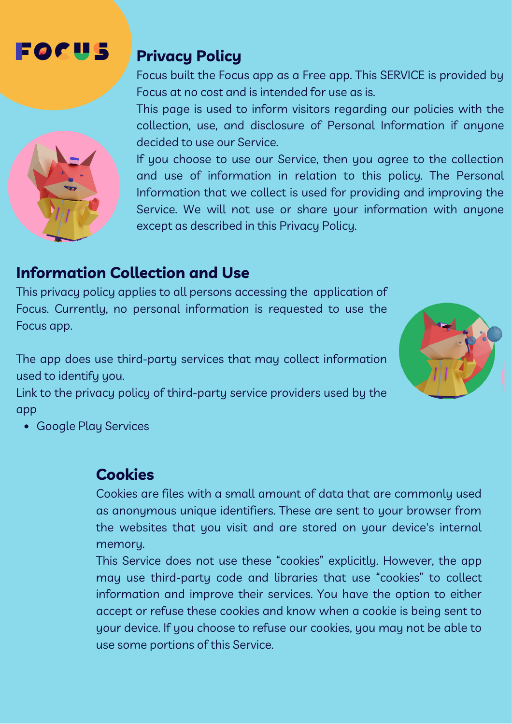# FØØU 5

## **Privacy Policy**

Focus built the Focus app as a Free app. This SERVICE is provided by Focus at no cost and is intended for use as is.

This page is used to inform visitors regarding our policies with the collection, use, and disclosure of Personal Information if anyone decided to use our Service.

If you choose to use our Service, then you agree to the collection and use of information in relation to this policy. The Personal Information that we collect is used for providing and improving the Service. We will not use or share your information with anyone except as described in this Privacy Policy.

# **Information Collection and Use**

This privacy policy applies to all persons accessing the application of Focus. Currently, no personal information is requested to use the Focus app.

The app does use third-party services that may collect information used to identify you.

Link to the privacy policy of third-party service providers used by the app



#### **Cookies**

Cookies are files with a small amount of data that are commonly used as anonymous unique identifiers. These are sent to your browser from the websites that you visit and are stored on your device's internal memory.

This Service does not use these "cookies" explicitly. However, the app may use third-party code and libraries that use "cookies" to collect information and improve their services. You have the option to either accept or refuse these cookies and know when a cookie is being sent to your device. If you choose to refuse our cookies, you may not be able to use some portions of this Service.